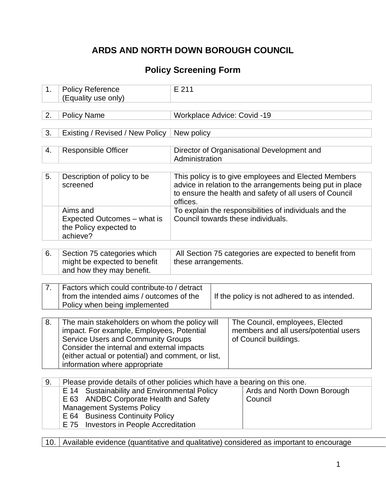## **ARDS AND NORTH DOWN BOROUGH COUNCIL**

# **Policy Screening Form**

| 1. | <b>Policy Reference</b><br>(Equality use only)                                                                                                                                                                                                                                                        | E 211                              |                                                                                                                                                                              |
|----|-------------------------------------------------------------------------------------------------------------------------------------------------------------------------------------------------------------------------------------------------------------------------------------------------------|------------------------------------|------------------------------------------------------------------------------------------------------------------------------------------------------------------------------|
| 2. | <b>Policy Name</b>                                                                                                                                                                                                                                                                                    | <b>Workplace Advice: Covid -19</b> |                                                                                                                                                                              |
| 3. | Existing / Revised / New Policy                                                                                                                                                                                                                                                                       | New policy                         |                                                                                                                                                                              |
| 4. | <b>Responsible Officer</b>                                                                                                                                                                                                                                                                            | Administration                     | Director of Organisational Development and                                                                                                                                   |
| 5. | Description of policy to be<br>screened                                                                                                                                                                                                                                                               | offices.                           | This policy is to give employees and Elected Members<br>advice in relation to the arrangements being put in place<br>to ensure the health and safety of all users of Council |
|    | Aims and<br>Expected Outcomes – what is<br>the Policy expected to<br>achieve?                                                                                                                                                                                                                         | Council towards these individuals. | To explain the responsibilities of individuals and the                                                                                                                       |
| 6. | Section 75 categories which<br>might be expected to benefit<br>and how they may benefit.                                                                                                                                                                                                              | these arrangements.                | All Section 75 categories are expected to benefit from                                                                                                                       |
| 7. | Factors which could contribute to / detract<br>from the intended aims / outcomes of the<br>Policy when being implemented                                                                                                                                                                              |                                    | If the policy is not adhered to as intended.                                                                                                                                 |
| 8. | The main stakeholders on whom the policy will<br>impact. For example, Employees, Potential<br><b>Service Users and Community Groups</b><br>Consider the internal and external impacts<br>(either actual or potential) and comment, or list,<br>information where appropriate                          |                                    | The Council, employees, Elected<br>members and all users/potential users<br>of Council buildings.                                                                            |
| 9. | Please provide details of other policies which have a bearing on this one.<br>Sustainability and Environmental Policy<br>E 14<br><b>ANDBC Corporate Health and Safety</b><br>E 63<br><b>Management Systems Policy</b><br>E 64 Business Continuity Policy<br>Investors in People Accreditation<br>E 75 |                                    | Ards and North Down Borough<br>Council                                                                                                                                       |

10. Available evidence (quantitative and qualitative) considered as important to encourage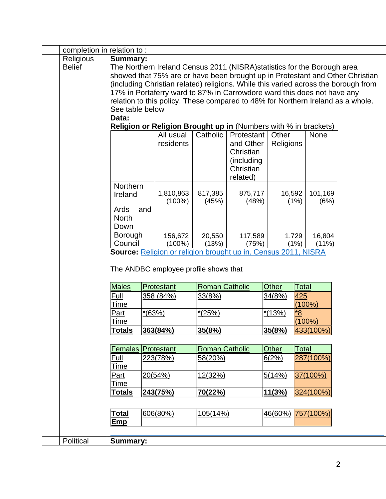| completion in relation to: |                 |          |                                                                          |                       |            |                   |              |           |                                                                                    |
|----------------------------|-----------------|----------|--------------------------------------------------------------------------|-----------------------|------------|-------------------|--------------|-----------|------------------------------------------------------------------------------------|
| Religious                  | <b>Summary:</b> |          |                                                                          |                       |            |                   |              |           |                                                                                    |
| <b>Belief</b>              |                 |          | The Northern Ireland Census 2011 (NISRA) statistics for the Borough area |                       |            |                   |              |           |                                                                                    |
|                            |                 |          |                                                                          |                       |            |                   |              |           | showed that 75% are or have been brought up in Protestant and Other Christian      |
|                            |                 |          |                                                                          |                       |            |                   |              |           | (including Christian related) religions. While this varied across the borough from |
|                            |                 |          | 17% in Portaferry ward to 87% in Carrowdore ward this does not have any  |                       |            |                   |              |           |                                                                                    |
|                            |                 |          |                                                                          |                       |            |                   |              |           | relation to this policy. These compared to 48% for Northern Ireland as a whole.    |
|                            | See table below |          |                                                                          |                       |            |                   |              |           |                                                                                    |
|                            | Data:           |          |                                                                          |                       |            |                   |              |           |                                                                                    |
|                            |                 |          | Religion or Religion Brought up in (Numbers with % in brackets)          |                       |            |                   |              |           |                                                                                    |
|                            |                 |          | All usual                                                                | Catholic              | Protestant | Other             |              | None      |                                                                                    |
|                            |                 |          | residents                                                                |                       | and Other  | Religions         |              |           |                                                                                    |
|                            |                 |          |                                                                          |                       | Christian  |                   |              |           |                                                                                    |
|                            |                 |          |                                                                          |                       | (including |                   |              |           |                                                                                    |
|                            |                 |          |                                                                          |                       | Christian  |                   |              |           |                                                                                    |
|                            | Northern        |          |                                                                          |                       | related)   |                   |              |           |                                                                                    |
|                            | Ireland         |          | 1,810,863                                                                | 817,385               | 875,717    |                   | 16,592       | 101,169   |                                                                                    |
|                            |                 |          | $(100\%)$                                                                | (45%)                 | (48%)      |                   | (1%)         | (6%)      |                                                                                    |
|                            | Ards            | and      |                                                                          |                       |            |                   |              |           |                                                                                    |
|                            | <b>North</b>    |          |                                                                          |                       |            |                   |              |           |                                                                                    |
|                            | Down            |          |                                                                          |                       |            |                   |              |           |                                                                                    |
|                            | Borough         |          | 156,672                                                                  | 20,550                | 117,589    |                   | 1,729        | 16,804    |                                                                                    |
|                            | Council         |          | $(100\%)$                                                                | (13%)                 | (75%)      |                   | (1%)         | $(11\%)$  |                                                                                    |
|                            |                 |          | Source: Religion or religion brought up in. Census 2011, NISRA           |                       |            |                   |              |           |                                                                                    |
|                            |                 |          |                                                                          |                       |            |                   |              |           |                                                                                    |
|                            |                 |          | The ANDBC employee profile shows that                                    |                       |            |                   |              |           |                                                                                    |
|                            | <b>Males</b>    |          | Protestant                                                               | <b>Roman Catholic</b> |            | <b>Other</b>      | Total        |           |                                                                                    |
|                            | Full            |          | 358 (84%)                                                                | 33(8%)                |            | 34(8% <u>)</u>    | 425          |           |                                                                                    |
|                            | Time            |          |                                                                          |                       |            |                   |              | $(100\%)$ |                                                                                    |
|                            | Part            | $*(63%)$ |                                                                          | $*(25%)$              |            | $*(13%)$          | <u>8*</u>    |           |                                                                                    |
|                            | Time            |          |                                                                          |                       |            |                   |              | $(100\%)$ |                                                                                    |
|                            | <b>Totals</b>   |          | 363(84%)                                                                 | 35(8%)                |            | 35(8%)            |              | 433(100%) |                                                                                    |
|                            |                 |          |                                                                          |                       |            |                   |              |           |                                                                                    |
|                            | <b>Females</b>  |          | Protestant                                                               | <b>Roman Catholic</b> |            | <b>Other</b>      | <b>Total</b> |           |                                                                                    |
|                            | Full            |          | 223(78%)                                                                 | 58(20%)               |            | 6(2%)             |              | 287(100%) |                                                                                    |
|                            | Time            |          |                                                                          |                       |            |                   |              |           |                                                                                    |
|                            | Part            |          | 20(54%)                                                                  | 12(32%)               |            | 5(14%)            |              | 37(100%)  |                                                                                    |
|                            | Time            |          |                                                                          |                       |            |                   |              |           |                                                                                    |
|                            | <b>Totals</b>   |          | 243(75%)                                                                 | 70(22%)               |            | 11(3%)            |              | 324(100%) |                                                                                    |
|                            |                 |          |                                                                          |                       |            |                   |              |           |                                                                                    |
|                            | <u>Total</u>    |          | 606(80%)                                                                 | 105(14%)              |            | 46(60%) 757(100%) |              |           |                                                                                    |
|                            | <b>Emp</b>      |          |                                                                          |                       |            |                   |              |           |                                                                                    |
|                            |                 |          |                                                                          |                       |            |                   |              |           |                                                                                    |
| Political                  | <b>Summary:</b> |          |                                                                          |                       |            |                   |              |           |                                                                                    |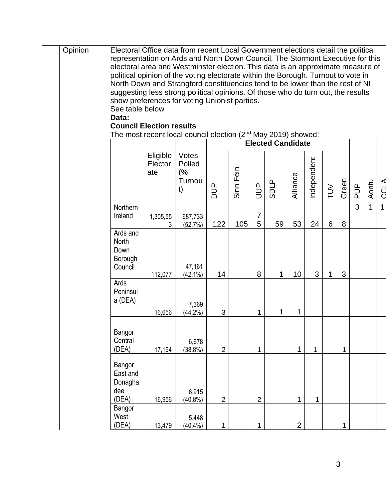| Opinion | Electoral Office data from recent Local Government elections detail the political                                                                                 |          |            |                |           |                |                          |                |              |        |              |                |              |                |
|---------|-------------------------------------------------------------------------------------------------------------------------------------------------------------------|----------|------------|----------------|-----------|----------------|--------------------------|----------------|--------------|--------|--------------|----------------|--------------|----------------|
|         | representation on Ards and North Down Council, The Stormont Executive for this<br>electoral area and Westminster election. This data is an approximate measure of |          |            |                |           |                |                          |                |              |        |              |                |              |                |
|         | political opinion of the voting electorate within the Borough. Turnout to vote in                                                                                 |          |            |                |           |                |                          |                |              |        |              |                |              |                |
|         | North Down and Strangford constituencies tend to be lower than the rest of NI                                                                                     |          |            |                |           |                |                          |                |              |        |              |                |              |                |
|         | suggesting less strong political opinions. Of those who do turn out, the results                                                                                  |          |            |                |           |                |                          |                |              |        |              |                |              |                |
|         | show preferences for voting Unionist parties.                                                                                                                     |          |            |                |           |                |                          |                |              |        |              |                |              |                |
|         | See table below<br>Data:                                                                                                                                          |          |            |                |           |                |                          |                |              |        |              |                |              |                |
|         | <b>Council Election results</b>                                                                                                                                   |          |            |                |           |                |                          |                |              |        |              |                |              |                |
|         | The most recent local council election (2 <sup>nd</sup> May 2019) showed:                                                                                         |          |            |                |           |                |                          |                |              |        |              |                |              |                |
|         |                                                                                                                                                                   |          |            |                |           |                | <b>Elected Candidate</b> |                |              |        |              |                |              |                |
|         |                                                                                                                                                                   | Eligible | Votes      |                |           |                |                          |                |              |        |              |                |              |                |
|         |                                                                                                                                                                   | Elector  | Polled     |                |           |                |                          |                | Independent  |        |              |                |              |                |
|         |                                                                                                                                                                   | ate      | (%         |                | Sinn Féin |                |                          |                |              |        |              |                |              |                |
|         |                                                                                                                                                                   |          | Turnou     |                |           |                | <b>SDLP</b>              | Alliance       |              |        |              |                |              |                |
|         |                                                                                                                                                                   |          | t)         | $\frac{p}{d}$  |           | <b>JUP</b>     |                          |                |              | $\geq$ | Green        | $\frac{p}{q}$  | Aontu        | <b>CCLA</b>    |
|         | Northern                                                                                                                                                          |          |            |                |           |                |                          |                |              |        |              | $\overline{3}$ | $\mathbf{1}$ | $\overline{1}$ |
|         | Ireland                                                                                                                                                           | 1,305,55 | 687,733    |                |           | $\overline{7}$ |                          |                |              |        |              |                |              |                |
|         |                                                                                                                                                                   | 3        | (52.7%)    | 122            | 105       | 5              | 59                       | 53             | 24           | 6      | 8            |                |              |                |
|         | Ards and                                                                                                                                                          |          |            |                |           |                |                          |                |              |        |              |                |              |                |
|         | <b>North</b><br>Down                                                                                                                                              |          |            |                |           |                |                          |                |              |        |              |                |              |                |
|         | Borough                                                                                                                                                           |          |            |                |           |                |                          |                |              |        |              |                |              |                |
|         | Council                                                                                                                                                           |          | 47,161     |                |           |                |                          |                |              |        |              |                |              |                |
|         |                                                                                                                                                                   | 112,077  | $(42.1\%)$ | 14             |           | 8              | 1                        | 10             | 3            | 1      | 3            |                |              |                |
|         | Ards                                                                                                                                                              |          |            |                |           |                |                          |                |              |        |              |                |              |                |
|         | Peninsul                                                                                                                                                          |          |            |                |           |                |                          |                |              |        |              |                |              |                |
|         | a (DEA)                                                                                                                                                           |          | 7,369      |                |           |                |                          |                |              |        |              |                |              |                |
|         |                                                                                                                                                                   | 16,656   | $(44.2\%)$ | 3              |           | 1              | 1                        | 1              |              |        |              |                |              |                |
|         |                                                                                                                                                                   |          |            |                |           |                |                          |                |              |        |              |                |              |                |
|         | Bangor                                                                                                                                                            |          |            |                |           |                |                          |                |              |        |              |                |              |                |
|         | Central<br>(DEA)                                                                                                                                                  |          | 6,678      | $\overline{2}$ |           | 1              |                          | $\mathbf{1}$   | $\mathbf{1}$ |        | $\mathbf{1}$ |                |              |                |
|         |                                                                                                                                                                   | 17,194   | (38.8%)    |                |           |                |                          |                |              |        |              |                |              |                |
|         | Bangor                                                                                                                                                            |          |            |                |           |                |                          |                |              |        |              |                |              |                |
|         | East and                                                                                                                                                          |          |            |                |           |                |                          |                |              |        |              |                |              |                |
|         | Donagha                                                                                                                                                           |          |            |                |           |                |                          |                |              |        |              |                |              |                |
|         | dee                                                                                                                                                               |          | 6,915      |                |           |                |                          |                |              |        |              |                |              |                |
|         | (DEA)<br>Bangor                                                                                                                                                   | 16,956   | $(40.8\%)$ | $\overline{2}$ |           | $\overline{2}$ |                          | 1              | $\mathbf{1}$ |        |              |                |              |                |
|         | West                                                                                                                                                              |          | 5,448      |                |           |                |                          |                |              |        |              |                |              |                |
|         | (DEA)                                                                                                                                                             | 13,479   | $(40.4\%)$ | $\mathbf{1}$   |           | 1              |                          | $\overline{2}$ |              |        | 1            |                |              |                |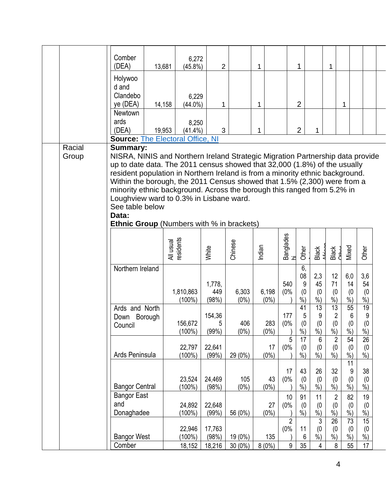|                 | Comber<br>(DEA)                                                                                                                                                                                                                                                                                                                                                                                                                                                                                                                                   | 6,272<br>13,681<br>$(45.8\%)$ | $\overline{2}$            |                      | 1                |                             | 1                               |                                            | 1                                                         |                                    |                                 |  |
|-----------------|---------------------------------------------------------------------------------------------------------------------------------------------------------------------------------------------------------------------------------------------------------------------------------------------------------------------------------------------------------------------------------------------------------------------------------------------------------------------------------------------------------------------------------------------------|-------------------------------|---------------------------|----------------------|------------------|-----------------------------|---------------------------------|--------------------------------------------|-----------------------------------------------------------|------------------------------------|---------------------------------|--|
|                 | Holywoo<br>d and<br>Clandebo<br>ye (DEA)                                                                                                                                                                                                                                                                                                                                                                                                                                                                                                          | 6,229<br>14,158<br>$(44.0\%)$ | 1                         |                      | 1                |                             | $\overline{2}$                  |                                            |                                                           | 1                                  |                                 |  |
|                 | <b>Newtown</b><br>ards<br>(DEA)                                                                                                                                                                                                                                                                                                                                                                                                                                                                                                                   | 8,250<br>19,953<br>$(41.4\%)$ | 3                         |                      | 1                |                             | $\overline{2}$                  | 1                                          |                                                           |                                    |                                 |  |
|                 | <b>Source: The Electoral Office, NI</b>                                                                                                                                                                                                                                                                                                                                                                                                                                                                                                           |                               |                           |                      |                  |                             |                                 |                                            |                                                           |                                    |                                 |  |
| Racial<br>Group | <b>Summary:</b><br>NISRA, NINIS and Northern Ireland Strategic Migration Partnership data provide<br>up to date data. The 2011 census showed that 32,000 (1.8%) of the usually<br>resident population in Northern Ireland is from a minority ethnic background.<br>Within the borough, the 2011 Census showed that 1.5% (2,300) were from a<br>minority ethnic background. Across the borough this ranged from 5.2% in<br>Loughview ward to 0.3% in Lisbane ward.<br>See table below<br>Data:<br><b>Ethnic Group</b> (Numbers with % in brackets) |                               |                           |                      |                  |                             |                                 |                                            |                                                           |                                    |                                 |  |
|                 |                                                                                                                                                                                                                                                                                                                                                                                                                                                                                                                                                   | All usual<br>residents        | White                     | Chinese              | Indian           | Banglades<br>hi             | Other                           | Black<br>مختصمہ<br>مختصہ                   | Black<br>CHbor                                            | Mixed                              | Other                           |  |
|                 | Northern Ireland                                                                                                                                                                                                                                                                                                                                                                                                                                                                                                                                  | 1,810,863<br>$(100\%)$        | 1,778,<br>449<br>(98%)    | 6,303<br>$(0\%)$     | 6,198<br>$(0\%)$ | 540<br>(0%                  | 6,<br>08<br>9<br>(0)<br>$%$ )   | 2,3<br>45<br>(0)<br>$\frac{9}{6}$          | 12<br>71<br>(0)<br>$\frac{6}{9}$                          | 6,0<br>14<br>(0)<br>$\frac{9}{6}$  | 3,6<br>54<br>(0)<br>$%$ )       |  |
|                 | Ards and North<br>Borough<br>Down<br>Council                                                                                                                                                                                                                                                                                                                                                                                                                                                                                                      | 156,672<br>$(100\%)$          | 154,36<br>5<br>(99%)      | 406<br>$(0\%)$       | 283<br>$(0\%)$   | 177<br>(0%                  | 41<br>5<br>(0)<br>$\frac{9}{6}$ | $\overline{13}$<br>9<br>(0)<br>$\dot{\%})$ | 13<br>$\overline{2}$<br>(0)<br>$\frac{1}{2}$              | 55<br>$\,6\,$<br>(0)<br>$\dot{90}$ | 19<br>9<br>(0)<br>$\frac{9}{6}$ |  |
|                 | Ards Peninsula                                                                                                                                                                                                                                                                                                                                                                                                                                                                                                                                    | 22,797<br>$(100\%)$           | 22,641<br>(99%)           | 29 (0%)              | 17<br>$(0\%)$    | 5<br>(0%                    | 17<br>(0)<br>$%$ )              | 6<br>(0)<br>$\overline{\frac{9}{6}})$      | $\overline{2}$<br>(0)<br>$%$ )                            | $\overline{54}$<br>(0)<br>%<br>11  | 26<br>(0)<br>$%$ )              |  |
|                 | <b>Bangor Central</b>                                                                                                                                                                                                                                                                                                                                                                                                                                                                                                                             | 23,524<br>$(100\%)$           | 24,469<br>(98%)           | 105<br>$(0\%)$       | 43<br>$(0\%)$    | 17<br>(0%                   | 43<br>(0)<br>$%$ )              | 26<br>(0)<br>%                             | 32<br>(0)<br>$%$ )                                        | 9<br>(0)<br>$%$ )                  | 38<br>(0)<br>$%$ )              |  |
|                 | <b>Bangor East</b><br>and<br>Donaghadee                                                                                                                                                                                                                                                                                                                                                                                                                                                                                                           | 24,892<br>$(100\%)$           | 22,648<br>(99%)           | 56 (0%)              | 27<br>$(0\%)$    | 10<br>(0%<br>$\overline{2}$ | 91<br>(0)<br>$%$ )              | 11<br>(0)<br>$\frac{9}{6}$                 | $\overline{2}$<br>(0)<br>$\frac{6}{2}$<br>$\overline{26}$ | 82<br>(0)<br>%                     | 19<br>(0)<br>%                  |  |
|                 | <b>Bangor West</b><br>Comber                                                                                                                                                                                                                                                                                                                                                                                                                                                                                                                      | 22,946<br>$(100\%)$<br>18,152 | 17,763<br>(98%)<br>18,216 | 19 (0%)<br>$30(0\%)$ | 135<br>8(0%)     | (0%<br>$\boldsymbol{9}$     | 11<br>6<br>35                   | $\mathfrak{Z}$<br>(0)<br>$\%$ )<br>4       | (0)<br>$\frac{6}{6}$<br>8                                 | 73<br>(0)<br>$%$ )<br>55           | 15<br>(0)<br>$%$ )<br>17        |  |
|                 |                                                                                                                                                                                                                                                                                                                                                                                                                                                                                                                                                   |                               |                           |                      |                  |                             |                                 |                                            |                                                           |                                    |                                 |  |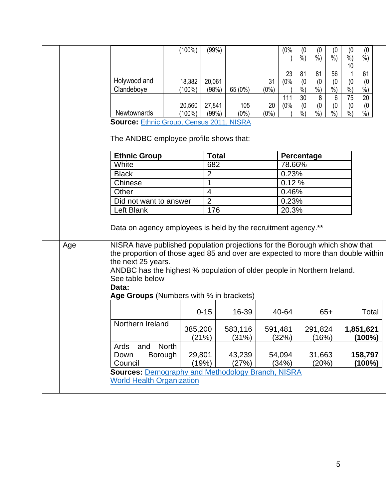|     |                                                                                                                                                                                                                                                                                              | $(100\%)$                                  | (99%)                              |                           |                                | (0%                     | (0<br>$\frac{9}{6}$                  | (0)<br>$\dot{\%}$                       | (0)<br>$\dot{\%}$                           | (0)<br>$\dot{\%}$                        | (0)<br>$\frac{9}{6}$                              |
|-----|----------------------------------------------------------------------------------------------------------------------------------------------------------------------------------------------------------------------------------------------------------------------------------------------|--------------------------------------------|------------------------------------|---------------------------|--------------------------------|-------------------------|--------------------------------------|-----------------------------------------|---------------------------------------------|------------------------------------------|---------------------------------------------------|
|     | Holywood and<br>Clandeboye<br>Newtownards                                                                                                                                                                                                                                                    | 18,382<br>$(100\%)$<br>20,560<br>$(100\%)$ | 20,061<br>(98%)<br>27,841<br>(99%) | 65 (0%)<br>105<br>$(0\%)$ | 31<br>$(0\%)$<br>20<br>$(0\%)$ | 23<br>(0%<br>111<br>(0% | 81<br>(0)<br>%<br>30<br>(0)<br>$%$ ) | 81<br>(0)<br>$%$ )<br>8<br>(0)<br>$%$ ) | 56<br>(0)<br>%<br>6<br>(0)<br>$\frac{9}{0}$ | 10<br>(0)<br>$%$ )<br>75<br>(0)<br>$%$ ) | 61<br>(0)<br>%<br>$\overline{20}$<br>(0)<br>$%$ ) |
|     | <b>Source: Ethnic Group, Census 2011, NISRA</b><br>The ANDBC employee profile shows that:                                                                                                                                                                                                    |                                            |                                    |                           |                                |                         |                                      |                                         |                                             |                                          |                                                   |
|     | <b>Ethnic Group</b><br>White                                                                                                                                                                                                                                                                 |                                            | <b>Total</b><br>682                |                           |                                | Percentage<br>78.66%    |                                      |                                         |                                             |                                          |                                                   |
|     | <b>Black</b>                                                                                                                                                                                                                                                                                 |                                            | $\overline{2}$                     |                           |                                | 0.23%                   |                                      |                                         |                                             |                                          |                                                   |
|     | Chinese<br>Other                                                                                                                                                                                                                                                                             |                                            | 1<br>$\overline{4}$                |                           |                                | 0.12%<br>0.46%          |                                      |                                         |                                             |                                          |                                                   |
|     | Did not want to answer<br>Left Blank                                                                                                                                                                                                                                                         |                                            | $\overline{2}$<br>176              |                           |                                | 0.23%<br>20.3%          |                                      |                                         |                                             |                                          |                                                   |
|     | Data on agency employees is held by the recruitment agency.**                                                                                                                                                                                                                                |                                            |                                    |                           |                                |                         |                                      |                                         |                                             |                                          |                                                   |
| Age | NISRA have published population projections for the Borough which show that<br>the proportion of those aged 85 and over are expected to more than double within<br>the next 25 years.<br>ANDBC has the highest % population of older people in Northern Ireland.<br>See table below<br>Data: |                                            |                                    |                           |                                |                         |                                      |                                         |                                             |                                          |                                                   |
|     | Age Groups (Numbers with % in brackets)                                                                                                                                                                                                                                                      |                                            |                                    |                           |                                |                         |                                      |                                         |                                             |                                          |                                                   |
|     |                                                                                                                                                                                                                                                                                              |                                            | $0 - 15$                           | 16-39                     |                                | 40-64                   |                                      |                                         | $65+$                                       |                                          | Total                                             |
|     | Northern Ireland                                                                                                                                                                                                                                                                             | 385,200<br>(21%)                           |                                    | 583,116<br>(31%)          |                                | 591,481<br>(32%)        |                                      | 291,824<br>(16%)                        |                                             |                                          | 1,851,621<br>(100%)                               |
|     | and<br><b>North</b><br>Ards<br>Borough<br>Down<br>Council                                                                                                                                                                                                                                    | 29,801<br>(19%)                            |                                    | 43,239<br>(27%)           |                                | 54,094<br>(34%)         |                                      | 31,663<br>(20%)                         |                                             |                                          | 158,797<br>(100%)                                 |
|     | <b>Sources: Demography and Methodology Branch, NISRA</b><br><b>World Health Organization</b>                                                                                                                                                                                                 |                                            |                                    |                           |                                |                         |                                      |                                         |                                             |                                          |                                                   |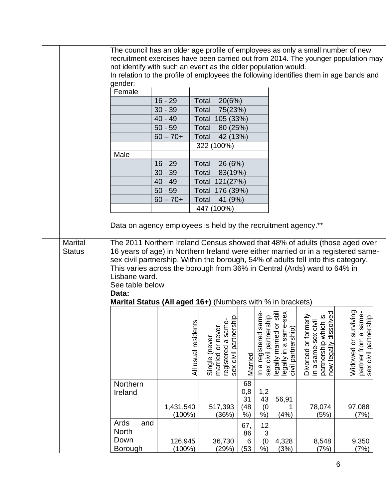|               | The council has an older age profile of employees as only a small number of new<br>recruitment exercises have been carried out from 2014. The younger population may<br>not identify with such an event as the older population would.<br>In relation to the profile of employees the following identifies them in age bands and |                        |                                                                                        |                         |                           |                                                                                                                           |                                                                                              |                                                                           |
|---------------|----------------------------------------------------------------------------------------------------------------------------------------------------------------------------------------------------------------------------------------------------------------------------------------------------------------------------------|------------------------|----------------------------------------------------------------------------------------|-------------------------|---------------------------|---------------------------------------------------------------------------------------------------------------------------|----------------------------------------------------------------------------------------------|---------------------------------------------------------------------------|
|               | gender:<br>Female                                                                                                                                                                                                                                                                                                                |                        |                                                                                        |                         |                           |                                                                                                                           |                                                                                              |                                                                           |
|               |                                                                                                                                                                                                                                                                                                                                  | $16 - 29$              | Total<br>20(6%)                                                                        |                         |                           |                                                                                                                           |                                                                                              |                                                                           |
|               |                                                                                                                                                                                                                                                                                                                                  | $30 - 39$              | Total<br>75(23%)                                                                       |                         |                           |                                                                                                                           |                                                                                              |                                                                           |
|               |                                                                                                                                                                                                                                                                                                                                  | $40 - 49$              | Total 105 (33%)                                                                        |                         |                           |                                                                                                                           |                                                                                              |                                                                           |
|               |                                                                                                                                                                                                                                                                                                                                  | $50 - 59$              | Total<br>80 (25%)                                                                      |                         |                           |                                                                                                                           |                                                                                              |                                                                           |
|               |                                                                                                                                                                                                                                                                                                                                  | $60 - 70 +$            | Total<br>42 (13%)                                                                      |                         |                           |                                                                                                                           |                                                                                              |                                                                           |
|               |                                                                                                                                                                                                                                                                                                                                  |                        | 322 (100%)                                                                             |                         |                           |                                                                                                                           |                                                                                              |                                                                           |
|               | Male                                                                                                                                                                                                                                                                                                                             |                        |                                                                                        |                         |                           |                                                                                                                           |                                                                                              |                                                                           |
|               |                                                                                                                                                                                                                                                                                                                                  | $16 - 29$              | 26 (6%)<br>Total                                                                       |                         |                           |                                                                                                                           |                                                                                              |                                                                           |
|               |                                                                                                                                                                                                                                                                                                                                  | $30 - 39$              | Total<br>83(19%)                                                                       |                         |                           |                                                                                                                           |                                                                                              |                                                                           |
|               |                                                                                                                                                                                                                                                                                                                                  | $40 - 49$              | Total 121(27%)                                                                         |                         |                           |                                                                                                                           |                                                                                              |                                                                           |
|               |                                                                                                                                                                                                                                                                                                                                  | $50 - 59$              | Total 176 (39%)                                                                        |                         |                           |                                                                                                                           |                                                                                              |                                                                           |
|               |                                                                                                                                                                                                                                                                                                                                  | $60 - 70 +$            | Total<br>41 (9%)                                                                       |                         |                           |                                                                                                                           |                                                                                              |                                                                           |
|               |                                                                                                                                                                                                                                                                                                                                  |                        | 447 (100%)                                                                             |                         |                           |                                                                                                                           |                                                                                              |                                                                           |
|               |                                                                                                                                                                                                                                                                                                                                  |                        |                                                                                        |                         |                           |                                                                                                                           |                                                                                              |                                                                           |
|               | Data on agency employees is held by the recruitment agency.**                                                                                                                                                                                                                                                                    |                        |                                                                                        |                         |                           |                                                                                                                           |                                                                                              |                                                                           |
| <b>Status</b> | 16 years of age) in Northern Ireland were either married or in a registered same-<br>sex civil partnership. Within the borough, 54% of adults fell into this category.<br>This varies across the borough from 36% in Central (Ards) ward to 64% in<br>Lisbane ward.<br>See table below<br>Data:                                  |                        |                                                                                        |                         |                           |                                                                                                                           |                                                                                              |                                                                           |
|               | Marital Status (All aged 16+) (Numbers with % in brackets)                                                                                                                                                                                                                                                                       |                        |                                                                                        |                         |                           |                                                                                                                           |                                                                                              |                                                                           |
|               |                                                                                                                                                                                                                                                                                                                                  | All usual residents    | စု - မြ<br>registered a sam<br>sex civil partners<br>married or never<br>Single (never | Married                 |                           | In a registered same-<br>sex civil partnership<br>legally married or still<br>legally in a same-sex<br>civil partnership) | Divorced or formerly<br>in a same-sex civil<br>partnership which is<br>now legally dissolved | iving<br>partner from a same-<br>sex civil partnership<br>Widowed or surv |
|               | Northern<br>Ireland                                                                                                                                                                                                                                                                                                              | 1,431,540<br>$(100\%)$ | 517,393                                                                                | 68<br>0,8<br>31<br>(48) | 1,2<br>43<br>(0)<br>$%$ ) | 56,91<br>(4% )                                                                                                            | 78,074<br>(5%)                                                                               | 97,088<br>(7%)                                                            |
|               | Ards<br>and<br>North                                                                                                                                                                                                                                                                                                             |                        | (36%)                                                                                  | $%$ )<br>67,<br>86      | 12<br>3                   |                                                                                                                           |                                                                                              |                                                                           |
|               | Down<br>Borough                                                                                                                                                                                                                                                                                                                  | 126,945<br>$(100\%)$   | 36,730<br>(29%)                                                                        | 6<br>(53)               | (0)<br>$%$ )              | 4,328<br>(3%)                                                                                                             | 8,548<br>(7%)                                                                                | 9,350<br>(7%)                                                             |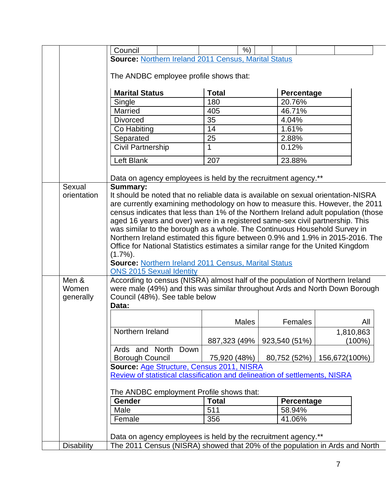|                   | Council                                                                                                       | $%$ )         |                              |           |  |
|-------------------|---------------------------------------------------------------------------------------------------------------|---------------|------------------------------|-----------|--|
|                   | <b>Source: Northern Ireland 2011 Census, Marital Status</b>                                                   |               |                              |           |  |
|                   |                                                                                                               |               |                              |           |  |
|                   | The ANDBC employee profile shows that:                                                                        |               |                              |           |  |
|                   | <b>Marital Status</b>                                                                                         | <b>Total</b>  | Percentage                   |           |  |
|                   | Single                                                                                                        | 180           | 20.76%                       |           |  |
|                   | Married                                                                                                       | 405           | 46.71%                       |           |  |
|                   | <b>Divorced</b>                                                                                               | 35            | 4.04%                        |           |  |
|                   | Co Habiting                                                                                                   | 14            | 1.61%                        |           |  |
|                   | Separated                                                                                                     | 25            | 2.88%                        |           |  |
|                   | <b>Civil Partnership</b>                                                                                      | $\mathbf{1}$  | 0.12%                        |           |  |
|                   | Left Blank                                                                                                    | 207           | 23.88%                       |           |  |
|                   |                                                                                                               |               |                              |           |  |
| Sexual            | Data on agency employees is held by the recruitment agency.**<br><b>Summary:</b>                              |               |                              |           |  |
| orientation       | It should be noted that no reliable data is available on sexual orientation-NISRA                             |               |                              |           |  |
|                   | are currently examining methodology on how to measure this. However, the 2011                                 |               |                              |           |  |
|                   | census indicates that less than 1% of the Northern Ireland adult population (those                            |               |                              |           |  |
|                   | aged 16 years and over) were in a registered same-sex civil partnership. This                                 |               |                              |           |  |
|                   | was similar to the borough as a whole. The Continuous Household Survey in                                     |               |                              |           |  |
|                   | Northern Ireland estimated this figure between 0.9% and 1.9% in 2015-2016. The                                |               |                              |           |  |
|                   | Office for National Statistics estimates a similar range for the United Kingdom                               |               |                              |           |  |
|                   | $(1.7\%)$ .                                                                                                   |               |                              |           |  |
|                   | <b>Source: Northern Ireland 2011 Census, Marital Status</b>                                                   |               |                              |           |  |
|                   | <b>ONS 2015 Sexual Identity</b>                                                                               |               |                              |           |  |
| Men &<br>Women    | According to census (NISRA) almost half of the population of Northern Ireland                                 |               |                              |           |  |
| generally         | were male (49%) and this was similar throughout Ards and North Down Borough<br>Council (48%). See table below |               |                              |           |  |
|                   | Data:                                                                                                         |               |                              |           |  |
|                   |                                                                                                               |               |                              |           |  |
|                   |                                                                                                               | Males         | Females                      | All       |  |
|                   | Northern Ireland                                                                                              |               |                              | 1,810,863 |  |
|                   |                                                                                                               | 887,323 (49%) | 923,540 (51%)                | (100%)    |  |
|                   | Ards and North<br>Down                                                                                        |               |                              |           |  |
|                   | <b>Borough Council</b>                                                                                        | 75,920 (48%)  | 80,752 (52%)   156,672(100%) |           |  |
|                   | Source: Age Structure, Census 2011, NISRA                                                                     |               |                              |           |  |
|                   | Review of statistical classification and delineation of settlements, NISRA                                    |               |                              |           |  |
|                   | The ANDBC employment Profile shows that:                                                                      |               |                              |           |  |
|                   | <b>Gender</b>                                                                                                 | <b>Total</b>  | <b>Percentage</b>            |           |  |
|                   | Male                                                                                                          | 511           | 58.94%                       |           |  |
|                   | Female                                                                                                        | 356           | 41.06%                       |           |  |
|                   |                                                                                                               |               |                              |           |  |
|                   | Data on agency employees is held by the recruitment agency.**                                                 |               |                              |           |  |
| <b>Disability</b> | The 2011 Census (NISRA) showed that 20% of the population in Ards and North                                   |               |                              |           |  |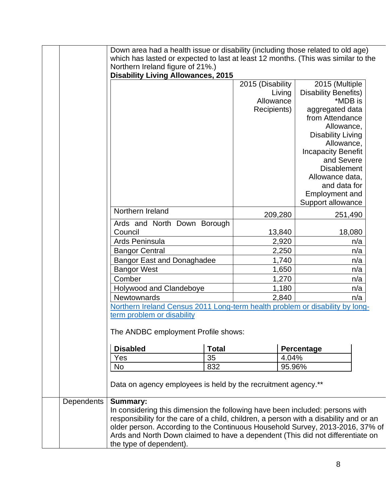|                   | Down area had a health issue or disability (including those related to old age)                           |              |                  |                                 |  |
|-------------------|-----------------------------------------------------------------------------------------------------------|--------------|------------------|---------------------------------|--|
|                   | which has lasted or expected to last at least 12 months. (This was similar to the                         |              |                  |                                 |  |
|                   | Northern Ireland figure of 21%.)                                                                          |              |                  |                                 |  |
|                   | <b>Disability Living Allowances, 2015</b>                                                                 |              | 2015 (Disability | 2015 (Multiple                  |  |
|                   |                                                                                                           |              | Living           | <b>Disability Benefits)</b>     |  |
|                   |                                                                                                           |              | Allowance        | *MDB is                         |  |
|                   |                                                                                                           |              | Recipients)      | aggregated data                 |  |
|                   |                                                                                                           |              |                  | from Attendance                 |  |
|                   |                                                                                                           |              |                  | Allowance,                      |  |
|                   |                                                                                                           |              |                  | <b>Disability Living</b>        |  |
|                   |                                                                                                           |              |                  | Allowance,                      |  |
|                   |                                                                                                           |              |                  | <b>Incapacity Benefit</b>       |  |
|                   |                                                                                                           |              |                  | and Severe                      |  |
|                   |                                                                                                           |              |                  | <b>Disablement</b>              |  |
|                   |                                                                                                           |              |                  | Allowance data,<br>and data for |  |
|                   |                                                                                                           |              |                  | <b>Employment and</b>           |  |
|                   |                                                                                                           |              |                  | Support allowance               |  |
|                   | Northern Ireland                                                                                          |              | 209,280          | 251,490                         |  |
|                   | Ards and North Down Borough                                                                               |              |                  |                                 |  |
|                   | Council                                                                                                   |              | 13,840           | 18,080                          |  |
|                   | Ards Peninsula                                                                                            |              | 2,920            | n/a                             |  |
|                   | <b>Bangor Central</b>                                                                                     |              | 2,250            | n/a                             |  |
|                   | <b>Bangor East and Donaghadee</b>                                                                         |              | 1,740            | n/a                             |  |
|                   | <b>Bangor West</b>                                                                                        |              | 1,650            | n/a                             |  |
|                   | Comber                                                                                                    |              | 1,270            | n/a                             |  |
|                   | Holywood and Clandeboye                                                                                   |              | 1,180            | n/a                             |  |
|                   | <b>Newtownards</b>                                                                                        |              | 2,840            | n/a                             |  |
|                   | Northern Ireland Census 2011 Long-term health problem or disability by long-                              |              |                  |                                 |  |
|                   | term problem or disability                                                                                |              |                  |                                 |  |
|                   | The ANDBC employment Profile shows:                                                                       |              |                  |                                 |  |
|                   | <b>Disabled</b>                                                                                           | <b>Total</b> |                  | Percentage                      |  |
|                   | Yes                                                                                                       | 35           | 4.04%            |                                 |  |
|                   | No                                                                                                        | 832          |                  | 95.96%                          |  |
|                   | Data on agency employees is held by the recruitment agency.**                                             |              |                  |                                 |  |
| <b>Dependents</b> | <b>Summary:</b>                                                                                           |              |                  |                                 |  |
|                   | In considering this dimension the following have been included: persons with                              |              |                  |                                 |  |
|                   | responsibility for the care of a child, children, a person with a disability and or an                    |              |                  |                                 |  |
|                   | older person. According to the Continuous Household Survey, 2013-2016, 37% of                             |              |                  |                                 |  |
|                   | Ards and North Down claimed to have a dependent (This did not differentiate on<br>the type of dependent). |              |                  |                                 |  |
|                   |                                                                                                           |              |                  |                                 |  |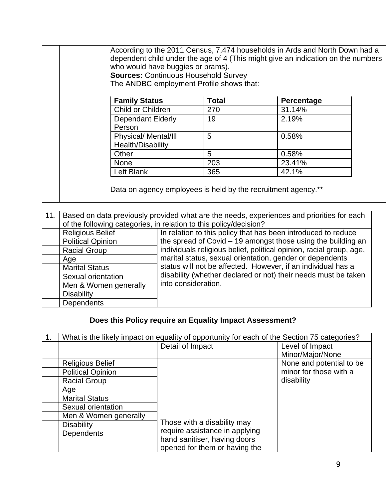| who would have buggies or prams).<br><b>Sources: Continuous Household Survey</b><br>The ANDBC employment Profile shows that: |              | dependent child under the age of 4 (This might give an indication on the numbers |  |
|------------------------------------------------------------------------------------------------------------------------------|--------------|----------------------------------------------------------------------------------|--|
| <b>Family Status</b>                                                                                                         | <b>Total</b> | Percentage                                                                       |  |
| Child or Children                                                                                                            | 270          | 31.14%                                                                           |  |
| <b>Dependant Elderly</b><br>Person                                                                                           | 19           | 2.19%                                                                            |  |
| Physical/ Mental/III<br>Health/Disability                                                                                    | 5            | 0.58%                                                                            |  |
| Other                                                                                                                        | 5            | 0.58%                                                                            |  |
| <b>None</b>                                                                                                                  | 203          | 23.41%                                                                           |  |
| Left Blank                                                                                                                   | 365          | 42.1%                                                                            |  |

| 11. |                          | Based on data previously provided what are the needs, experiences and priorities for each<br>of the following categories, in relation to this policy/decision? |
|-----|--------------------------|----------------------------------------------------------------------------------------------------------------------------------------------------------------|
|     | <b>Religious Belief</b>  | In relation to this policy that has been introduced to reduce                                                                                                  |
|     | <b>Political Opinion</b> | the spread of Covid $-19$ amongst those using the building an                                                                                                  |
|     | <b>Racial Group</b>      | individuals religious belief, political opinion, racial group, age,                                                                                            |
|     | Age                      | marital status, sexual orientation, gender or dependents                                                                                                       |
|     | <b>Marital Status</b>    | status will not be affected. However, if an individual has a                                                                                                   |
|     | Sexual orientation       | disability (whether declared or not) their needs must be taken                                                                                                 |
|     | Men & Women generally    | into consideration.                                                                                                                                            |
|     | <b>Disability</b>        |                                                                                                                                                                |
|     | <b>Dependents</b>        |                                                                                                                                                                |

# **Does this Policy require an Equality Impact Assessment?**

|                          | What is the likely impact on equality of opportunity for each of the Section 75 categories? |                          |
|--------------------------|---------------------------------------------------------------------------------------------|--------------------------|
|                          | Detail of Impact                                                                            | Level of Impact          |
|                          |                                                                                             | Minor/Major/None         |
| <b>Religious Belief</b>  |                                                                                             | None and potential to be |
| <b>Political Opinion</b> |                                                                                             | minor for those with a   |
| <b>Racial Group</b>      |                                                                                             | disability               |
| Age                      |                                                                                             |                          |
| <b>Marital Status</b>    |                                                                                             |                          |
| Sexual orientation       |                                                                                             |                          |
| Men & Women generally    |                                                                                             |                          |
| <b>Disability</b>        | Those with a disability may                                                                 |                          |
| Dependents               | require assistance in applying                                                              |                          |
|                          | hand sanitiser, having doors                                                                |                          |
|                          | opened for them or having the                                                               |                          |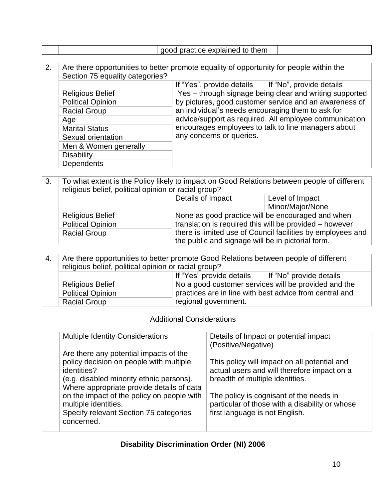|--|

2. Are there opportunities to better promote equality of opportunity for people within the Section 75 equality categories? If "Yes", provide details | If "No", provide details Religious Belief Yes – through signage being clear and writing supported by pictures, good customer service and an awareness of an individual's needs encouraging them to ask for advice/support as required. All employee communication encourages employees to talk to line managers about any concerns or queries. Political Opinion Racial Group Age Marital Status Sexual orientation Men & Women generally **Disability Dependents** 

3. To what extent is the Policy likely to impact on Good Relations between people of different religious belief, political opinion or racial group?

| , ongroad bonon pomnodi opimon or radial groap i    | Details of Impact                                                                                                | Level of Impact<br>Minor/Major/None                                                                          |
|-----------------------------------------------------|------------------------------------------------------------------------------------------------------------------|--------------------------------------------------------------------------------------------------------------|
| <b>Religious Belief</b><br><b>Political Opinion</b> |                                                                                                                  | None as good practice will be encouraged and when<br>translation is required this will be provided - however |
| <b>Racial Group</b>                                 | there is limited use of Council facilities by employees and<br>the public and signage will be in pictorial form. |                                                                                                              |

| 4. | Are there opportunities to better promote Good Relations between people of different<br>religious belief, political opinion or racial group? |                                                                                                                                                                                                |  |
|----|----------------------------------------------------------------------------------------------------------------------------------------------|------------------------------------------------------------------------------------------------------------------------------------------------------------------------------------------------|--|
|    |                                                                                                                                              | If "Yes" provide details<br>If "No" provide details<br>No a good customer services will be provided and the<br>practices are in line with best advice from central and<br>regional government. |  |
|    | <b>Religious Belief</b>                                                                                                                      |                                                                                                                                                                                                |  |
|    | Political Opinion                                                                                                                            |                                                                                                                                                                                                |  |
|    | <b>Racial Group</b>                                                                                                                          |                                                                                                                                                                                                |  |

#### Additional Considerations

| <b>Multiple Identity Considerations</b>                                                                                                                                                                                                                                                                                 | Details of Impact or potential impact<br>(Positive/Negative)                                                                                                                                                                                                  |
|-------------------------------------------------------------------------------------------------------------------------------------------------------------------------------------------------------------------------------------------------------------------------------------------------------------------------|---------------------------------------------------------------------------------------------------------------------------------------------------------------------------------------------------------------------------------------------------------------|
| Are there any potential impacts of the<br>policy decision on people with multiple<br>identities?<br>(e.g. disabled minority ethnic persons).<br>Where appropriate provide details of data<br>on the impact of the policy on people with<br>multiple identities.<br>Specify relevant Section 75 categories<br>concerned. | This policy will impact on all potential and<br>actual users and will therefore impact on a<br>breadth of multiple identities.<br>The policy is cognisant of the needs in<br>particular of those with a disability or whose<br>first language is not English. |

### **Disability Discrimination Order (NI) 2006**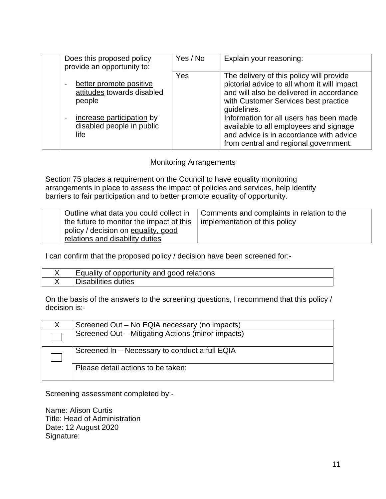| Does this proposed policy<br>provide an opportunity to:                                                                                | Yes / No | Explain your reasoning:                                                                                                                                                                                                                                                                                                    |
|----------------------------------------------------------------------------------------------------------------------------------------|----------|----------------------------------------------------------------------------------------------------------------------------------------------------------------------------------------------------------------------------------------------------------------------------------------------------------------------------|
| better promote positive<br>attitudes towards disabled<br>people<br>increase participation by<br>۰<br>disabled people in public<br>life | Yes      | The delivery of this policy will provide<br>pictorial advice to all whom it will impact<br>and will also be delivered in accordance<br>with Customer Services best practice<br>guidelines.<br>Information for all users has been made<br>available to all employees and signage<br>and advice is in accordance with advice |
|                                                                                                                                        |          | from central and regional government.                                                                                                                                                                                                                                                                                      |

#### Monitoring Arrangements

Section 75 places a requirement on the Council to have equality monitoring arrangements in place to assess the impact of policies and services, help identify barriers to fair participation and to better promote equality of opportunity.

| Outline what data you could collect in<br>the future to monitor the impact of this<br>policy / decision on equality, good<br>relations and disability duties | Comments and complaints in relation to the<br>implementation of this policy |
|--------------------------------------------------------------------------------------------------------------------------------------------------------------|-----------------------------------------------------------------------------|
|                                                                                                                                                              |                                                                             |

I can confirm that the proposed policy / decision have been screened for:-

| Equality of opportunity and good relations |
|--------------------------------------------|
| <b>Disabilities duties</b>                 |

On the basis of the answers to the screening questions, I recommend that this policy / decision is:-

| Screened Out – No EQIA necessary (no impacts)     |
|---------------------------------------------------|
| Screened Out - Mitigating Actions (minor impacts) |
|                                                   |
| Screened In - Necessary to conduct a full EQIA    |
|                                                   |
| Please detail actions to be taken:                |
|                                                   |

Screening assessment completed by:-

Name: Alison Curtis Title: Head of Administration Date: 12 August 2020 Signature: